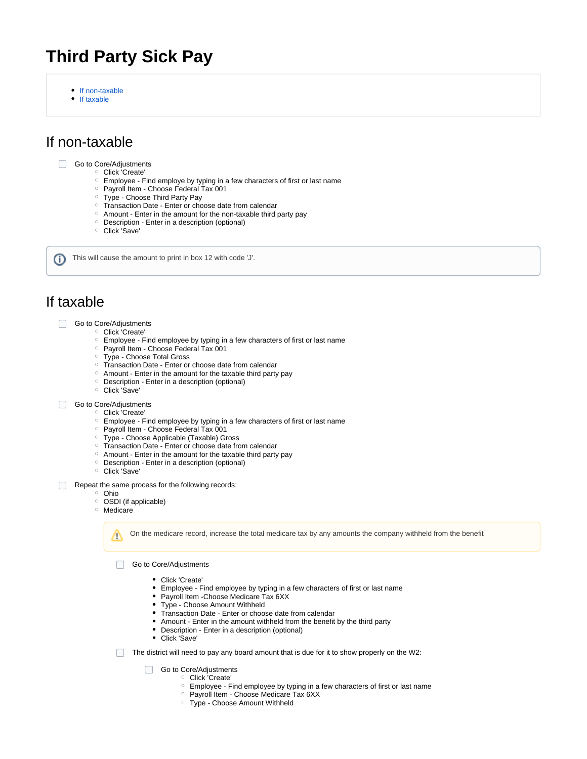# **Third Party Sick Pay**

- [If non-taxable](#page-0-0)
- $\bullet$ [If taxable](#page-0-1)

## <span id="page-0-0"></span>If non-taxable

#### Go to Core/Adjustments

- Click 'Create'
	- $\circ$  Employee Find employe by typing in a few characters of first or last name
	- o Payroll Item Choose Federal Tax 001
	- Type Choose Third Party Pay
	- o Transaction Date Enter or choose date from calendar
	- Amount Enter in the amount for the non-taxable third party pay
	- Description Enter in a description (optional)
	- Click 'Save'

This will cause the amount to print in box 12 with code 'J'. G)

### <span id="page-0-1"></span>If taxable

- Go to Core/Adjustments
	- <sup>o</sup> Click 'Create'
		- Employee Find employee by typing in a few characters of first or last name
		- o Payroll Item Choose Federal Tax 001
		- Type Choose Total Gross
		- <sup>o</sup> Transaction Date Enter or choose date from calendar
		- $\circ$  Amount Enter in the amount for the taxable third party pay
		- $\circ$  Description Enter in a description (optional)
		- Click 'Save'

#### Go to Core/Adjustments

- <sup>o</sup> Click 'Create'
- Employee Find employee by typing in a few characters of first or last name
- o Payroll Item Choose Federal Tax 001
- Type Choose Applicable (Taxable) Gross
- Transaction Date Enter or choose date from calendar
- $\circ$  Amount Enter in the amount for the taxable third party pay
- Description Enter in a description (optional)
- Click 'Save'
- Repeat the same process for the following records:
	- <sup>o</sup> Ohio
		- <sup>o</sup> OSDI (if applicable)
		- Medicare

Λ

On the medicare record, increase the total medicare tax by any amounts the company withheld from the benefit

Go to Core/Adjustments

- Click 'Create'
- Employee Find employee by typing in a few characters of first or last name
- Payroll Item -Choose Medicare Tax 6XX  $\bullet$
- Type Choose Amount Withheld
- Transaction Date Enter or choose date from calendar
- $\bullet$ Amount - Enter in the amount withheld from the benefit by the third party
- Description Enter in a description (optional)
- Click 'Save'
- $\Box$  The district will need to pay any board amount that is due for it to show properly on the W2:

Go to Core/Adjustments

- <sup>o</sup> Click 'Create'
- Employee Find employee by typing in a few characters of first or last name
- o Payroll Item Choose Medicare Tax 6XX
- Type Choose Amount Withheld